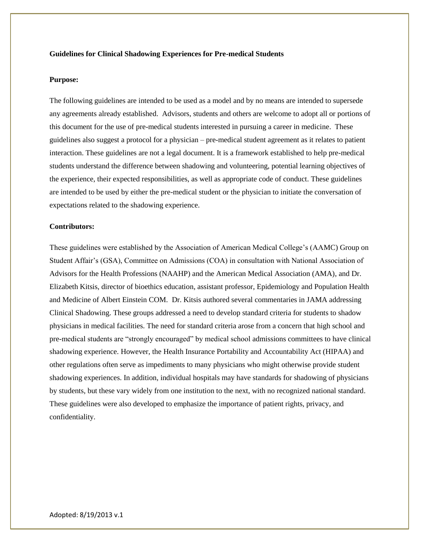#### **Guidelines for Clinical Shadowing Experiences for Pre-medical Students**

#### **Purpose:**

The following guidelines are intended to be used as a model and by no means are intended to supersede any agreements already established. Advisors, students and others are welcome to adopt all or portions of this document for the use of pre-medical students interested in pursuing a career in medicine. These guidelines also suggest a protocol for a physician – pre-medical student agreement as it relates to patient interaction. These guidelines are not a legal document. It is a framework established to help pre-medical students understand the difference between shadowing and volunteering, potential learning objectives of the experience, their expected responsibilities, as well as appropriate code of conduct. These guidelines are intended to be used by either the pre-medical student or the physician to initiate the conversation of expectations related to the shadowing experience.

#### **Contributors:**

These guidelines were established by the Association of American Medical College's (AAMC) Group on Student Affair's (GSA), Committee on Admissions (COA) in consultation with National Association of Advisors for the Health Professions (NAAHP) and the American Medical Association (AMA), and Dr. Elizabeth Kitsis, director of bioethics education, assistant professor, Epidemiology and Population Health and Medicine of Albert Einstein COM. Dr. Kitsis authored several commentaries in JAMA addressing Clinical Shadowing. These groups addressed a need to develop standard criteria for students to shadow physicians in medical facilities. The need for standard criteria arose from a concern that high school and pre-medical students are "strongly encouraged" by medical school admissions committees to have clinical shadowing experience. However, the Health Insurance Portability and Accountability Act (HIPAA) and other regulations often serve as impediments to many physicians who might otherwise provide student shadowing experiences. In addition, individual hospitals may have standards for shadowing of physicians by students, but these vary widely from one institution to the next, with no recognized national standard. These guidelines were also developed to emphasize the importance of patient rights, privacy, and confidentiality.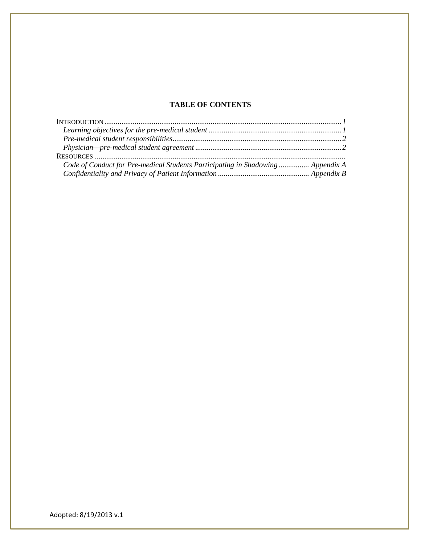# **TABLE OF CONTENTS**

| Code of Conduct for Pre-medical Students Participating in Shadowing  Appendix A |  |
|---------------------------------------------------------------------------------|--|
|                                                                                 |  |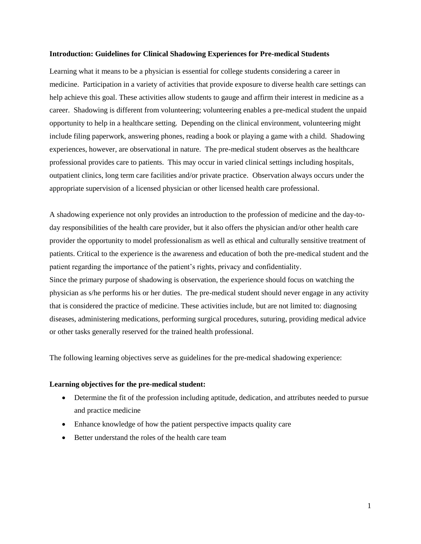#### **Introduction: Guidelines for Clinical Shadowing Experiences for Pre-medical Students**

Learning what it means to be a physician is essential for college students considering a career in medicine. Participation in a variety of activities that provide exposure to diverse health care settings can help achieve this goal. These activities allow students to gauge and affirm their interest in medicine as a career. Shadowing is different from volunteering; volunteering enables a pre-medical student the unpaid opportunity to help in a healthcare setting. Depending on the clinical environment, volunteering might include filing paperwork, answering phones, reading a book or playing a game with a child. Shadowing experiences, however, are observational in nature. The pre-medical student observes as the healthcare professional provides care to patients. This may occur in varied clinical settings including hospitals, outpatient clinics, long term care facilities and/or private practice. Observation always occurs under the appropriate supervision of a licensed physician or other licensed health care professional.

A shadowing experience not only provides an introduction to the profession of medicine and the day-today responsibilities of the health care provider, but it also offers the physician and/or other health care provider the opportunity to model professionalism as well as ethical and culturally sensitive treatment of patients. Critical to the experience is the awareness and education of both the pre-medical student and the patient regarding the importance of the patient's rights, privacy and confidentiality. Since the primary purpose of shadowing is observation, the experience should focus on watching the physician as s/he performs his or her duties. The pre-medical student should never engage in any activity that is considered the practice of medicine. These activities include, but are not limited to: diagnosing diseases, administering medications, performing surgical procedures, suturing, providing medical advice or other tasks generally reserved for the trained health professional.

The following learning objectives serve as guidelines for the pre-medical shadowing experience:

#### **Learning objectives for the pre-medical student:**

- Determine the fit of the profession including aptitude, dedication, and attributes needed to pursue and practice medicine
- Enhance knowledge of how the patient perspective impacts quality care
- Better understand the roles of the health care team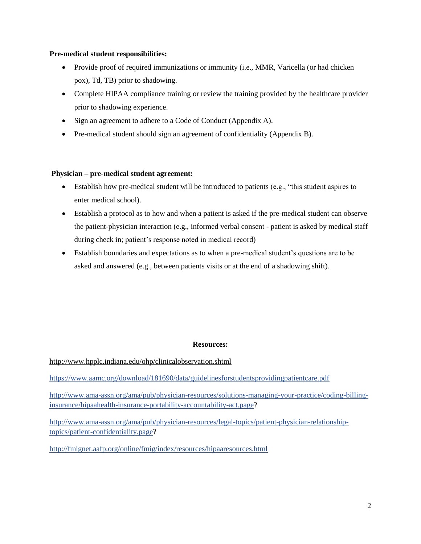## **Pre-medical student responsibilities:**

- Provide proof of required immunizations or immunity (i.e., MMR, Varicella (or had chicken pox), Td, TB) prior to shadowing.
- Complete HIPAA compliance training or review the training provided by the healthcare provider prior to shadowing experience.
- Sign an agreement to adhere to a Code of Conduct (Appendix A).
- Pre-medical student should sign an agreement of confidentiality (Appendix B).

## **Physician – pre-medical student agreement:**

- Establish how pre-medical student will be introduced to patients (e.g., "this student aspires to enter medical school).
- Establish a protocol as to how and when a patient is asked if the pre-medical student can observe the patient-physician interaction (e.g., informed verbal consent - patient is asked by medical staff during check in; patient's response noted in medical record)
- Establish boundaries and expectations as to when a pre-medical student's questions are to be asked and answered (e.g., between patients visits or at the end of a shadowing shift).

## **Resources:**

<http://www.hpplc.indiana.edu/ohp/clinicalobservation.shtml>

<https://www.aamc.org/download/181690/data/guidelinesforstudentsprovidingpatientcare.pdf>

[http://www.ama-assn.org/ama/pub/physician-resources/solutions-managing-your-practice/coding-billing](http://www.ama-assn.org/ama/pub/physician-resources/solutions-managing-your-practice/coding-billing-insurance/hipaahealth-insurance-portability-accountability-act.page)[insurance/hipaahealth-insurance-portability-accountability-act.page?](http://www.ama-assn.org/ama/pub/physician-resources/solutions-managing-your-practice/coding-billing-insurance/hipaahealth-insurance-portability-accountability-act.page)

[http://www.ama-assn.org/ama/pub/physician-resources/legal-topics/patient-physician-relationship](http://www.ama-assn.org/ama/pub/physician-resources/legal-topics/patient-physician-relationship-topics/patient-confidentiality.page)[topics/patient-confidentiality.page?](http://www.ama-assn.org/ama/pub/physician-resources/legal-topics/patient-physician-relationship-topics/patient-confidentiality.page)

<http://fmignet.aafp.org/online/fmig/index/resources/hipaaresources.html>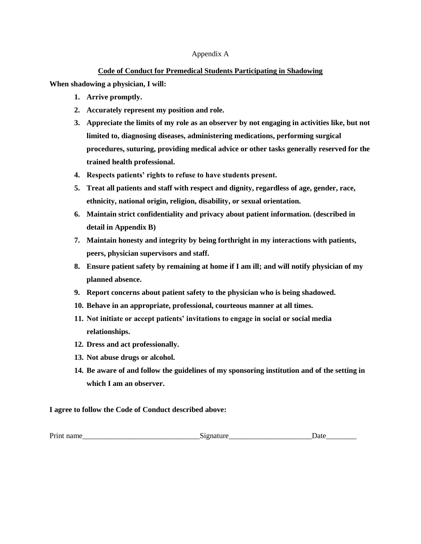#### Appendix A

## **Code of Conduct for Premedical Students Participating in Shadowing**

**When shadowing a physician, I will:**

- **1. Arrive promptly.**
- **2. Accurately represent my position and role.**
- **3. Appreciate the limits of my role as an observer by not engaging in activities like, but not limited to, diagnosing diseases, administering medications, performing surgical procedures, suturing, providing medical advice or other tasks generally reserved for the trained health professional.**
- **4. Respects patients' rights to refuse to have students present.**
- **5. Treat all patients and staff with respect and dignity, regardless of age, gender, race, ethnicity, national origin, religion, disability, or sexual orientation.**
- **6. Maintain strict confidentiality and privacy about patient information. (described in detail in Appendix B)**
- **7. Maintain honesty and integrity by being forthright in my interactions with patients, peers, physician supervisors and staff.**
- **8. Ensure patient safety by remaining at home if I am ill; and will notify physician of my planned absence.**
- **9. Report concerns about patient safety to the physician who is being shadowed.**
- **10. Behave in an appropriate, professional, courteous manner at all times.**
- **11. Not initiate or accept patients' invitations to engage in social or social media relationships.**
- **12. Dress and act professionally.**
- **13. Not abuse drugs or alcohol.**
- **14. Be aware of and follow the guidelines of my sponsoring institution and of the setting in which I am an observer.**

## **I agree to follow the Code of Conduct described above:**

| Prin<br>name | ----- | $-$ |
|--------------|-------|-----|
|--------------|-------|-----|